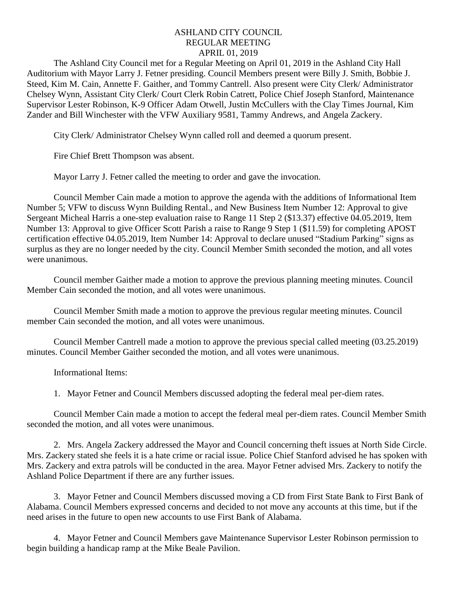## ASHLAND CITY COUNCIL REGULAR MEETING APRIL 01, 2019

The Ashland City Council met for a Regular Meeting on April 01, 2019 in the Ashland City Hall Auditorium with Mayor Larry J. Fetner presiding. Council Members present were Billy J. Smith, Bobbie J. Steed, Kim M. Cain, Annette F. Gaither, and Tommy Cantrell. Also present were City Clerk/ Administrator Chelsey Wynn, Assistant City Clerk/ Court Clerk Robin Catrett, Police Chief Joseph Stanford, Maintenance Supervisor Lester Robinson, K-9 Officer Adam Otwell, Justin McCullers with the Clay Times Journal, Kim Zander and Bill Winchester with the VFW Auxiliary 9581, Tammy Andrews, and Angela Zackery.

City Clerk/ Administrator Chelsey Wynn called roll and deemed a quorum present.

Fire Chief Brett Thompson was absent.

Mayor Larry J. Fetner called the meeting to order and gave the invocation.

Council Member Cain made a motion to approve the agenda with the additions of Informational Item Number 5; VFW to discuss Wynn Building Rental., and New Business Item Number 12: Approval to give Sergeant Micheal Harris a one-step evaluation raise to Range 11 Step 2 (\$13.37) effective 04.05.2019, Item Number 13: Approval to give Officer Scott Parish a raise to Range 9 Step 1 (\$11.59) for completing APOST certification effective 04.05.2019, Item Number 14: Approval to declare unused "Stadium Parking" signs as surplus as they are no longer needed by the city. Council Member Smith seconded the motion, and all votes were unanimous.

Council member Gaither made a motion to approve the previous planning meeting minutes. Council Member Cain seconded the motion, and all votes were unanimous.

Council Member Smith made a motion to approve the previous regular meeting minutes. Council member Cain seconded the motion, and all votes were unanimous.

Council Member Cantrell made a motion to approve the previous special called meeting (03.25.2019) minutes. Council Member Gaither seconded the motion, and all votes were unanimous.

Informational Items:

1. Mayor Fetner and Council Members discussed adopting the federal meal per-diem rates.

Council Member Cain made a motion to accept the federal meal per-diem rates. Council Member Smith seconded the motion, and all votes were unanimous.

2. Mrs. Angela Zackery addressed the Mayor and Council concerning theft issues at North Side Circle. Mrs. Zackery stated she feels it is a hate crime or racial issue. Police Chief Stanford advised he has spoken with Mrs. Zackery and extra patrols will be conducted in the area. Mayor Fetner advised Mrs. Zackery to notify the Ashland Police Department if there are any further issues.

3. Mayor Fetner and Council Members discussed moving a CD from First State Bank to First Bank of Alabama. Council Members expressed concerns and decided to not move any accounts at this time, but if the need arises in the future to open new accounts to use First Bank of Alabama.

4. Mayor Fetner and Council Members gave Maintenance Supervisor Lester Robinson permission to begin building a handicap ramp at the Mike Beale Pavilion.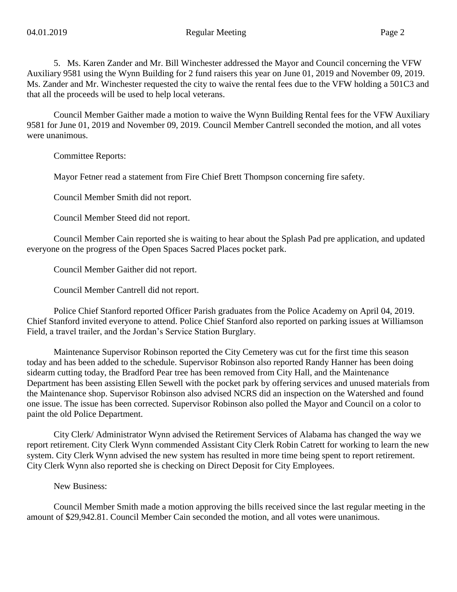5. Ms. Karen Zander and Mr. Bill Winchester addressed the Mayor and Council concerning the VFW Auxiliary 9581 using the Wynn Building for 2 fund raisers this year on June 01, 2019 and November 09, 2019. Ms. Zander and Mr. Winchester requested the city to waive the rental fees due to the VFW holding a 501C3 and that all the proceeds will be used to help local veterans.

Council Member Gaither made a motion to waive the Wynn Building Rental fees for the VFW Auxiliary 9581 for June 01, 2019 and November 09, 2019. Council Member Cantrell seconded the motion, and all votes were unanimous.

Committee Reports:

Mayor Fetner read a statement from Fire Chief Brett Thompson concerning fire safety.

Council Member Smith did not report.

Council Member Steed did not report.

Council Member Cain reported she is waiting to hear about the Splash Pad pre application, and updated everyone on the progress of the Open Spaces Sacred Places pocket park.

Council Member Gaither did not report.

Council Member Cantrell did not report.

Police Chief Stanford reported Officer Parish graduates from the Police Academy on April 04, 2019. Chief Stanford invited everyone to attend. Police Chief Stanford also reported on parking issues at Williamson Field, a travel trailer, and the Jordan's Service Station Burglary.

Maintenance Supervisor Robinson reported the City Cemetery was cut for the first time this season today and has been added to the schedule. Supervisor Robinson also reported Randy Hanner has been doing sidearm cutting today, the Bradford Pear tree has been removed from City Hall, and the Maintenance Department has been assisting Ellen Sewell with the pocket park by offering services and unused materials from the Maintenance shop. Supervisor Robinson also advised NCRS did an inspection on the Watershed and found one issue. The issue has been corrected. Supervisor Robinson also polled the Mayor and Council on a color to paint the old Police Department.

City Clerk/ Administrator Wynn advised the Retirement Services of Alabama has changed the way we report retirement. City Clerk Wynn commended Assistant City Clerk Robin Catrett for working to learn the new system. City Clerk Wynn advised the new system has resulted in more time being spent to report retirement. City Clerk Wynn also reported she is checking on Direct Deposit for City Employees.

New Business:

Council Member Smith made a motion approving the bills received since the last regular meeting in the amount of \$29,942.81. Council Member Cain seconded the motion, and all votes were unanimous.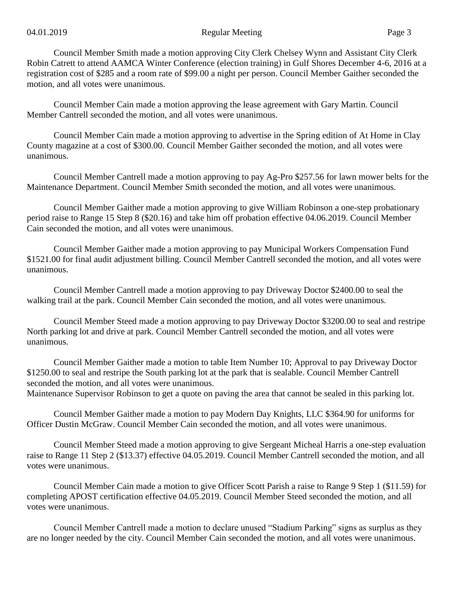Council Member Smith made a motion approving City Clerk Chelsey Wynn and Assistant City Clerk Robin Catrett to attend AAMCA Winter Conference (election training) in Gulf Shores December 4-6, 2016 at a registration cost of \$285 and a room rate of \$99.00 a night per person. Council Member Gaither seconded the motion, and all votes were unanimous.

Council Member Cain made a motion approving the lease agreement with Gary Martin. Council Member Cantrell seconded the motion, and all votes were unanimous.

Council Member Cain made a motion approving to advertise in the Spring edition of At Home in Clay County magazine at a cost of \$300.00. Council Member Gaither seconded the motion, and all votes were unanimous.

Council Member Cantrell made a motion approving to pay Ag-Pro \$257.56 for lawn mower belts for the Maintenance Department. Council Member Smith seconded the motion, and all votes were unanimous.

Council Member Gaither made a motion approving to give William Robinson a one-step probationary period raise to Range 15 Step 8 (\$20.16) and take him off probation effective 04.06.2019. Council Member Cain seconded the motion, and all votes were unanimous.

Council Member Gaither made a motion approving to pay Municipal Workers Compensation Fund \$1521.00 for final audit adjustment billing. Council Member Cantrell seconded the motion, and all votes were unanimous.

Council Member Cantrell made a motion approving to pay Driveway Doctor \$2400.00 to seal the walking trail at the park. Council Member Cain seconded the motion, and all votes were unanimous.

Council Member Steed made a motion approving to pay Driveway Doctor \$3200.00 to seal and restripe North parking lot and drive at park. Council Member Cantrell seconded the motion, and all votes were unanimous.

Council Member Gaither made a motion to table Item Number 10; Approval to pay Driveway Doctor \$1250.00 to seal and restripe the South parking lot at the park that is sealable. Council Member Cantrell seconded the motion, and all votes were unanimous.

Maintenance Supervisor Robinson to get a quote on paving the area that cannot be sealed in this parking lot.

Council Member Gaither made a motion to pay Modern Day Knights, LLC \$364.90 for uniforms for Officer Dustin McGraw. Council Member Cain seconded the motion, and all votes were unanimous.

Council Member Steed made a motion approving to give Sergeant Micheal Harris a one-step evaluation raise to Range 11 Step 2 (\$13.37) effective 04.05.2019. Council Member Cantrell seconded the motion, and all votes were unanimous.

Council Member Cain made a motion to give Officer Scott Parish a raise to Range 9 Step 1 (\$11.59) for completing APOST certification effective 04.05.2019. Council Member Steed seconded the motion, and all votes were unanimous.

Council Member Cantrell made a motion to declare unused "Stadium Parking" signs as surplus as they are no longer needed by the city. Council Member Cain seconded the motion, and all votes were unanimous.